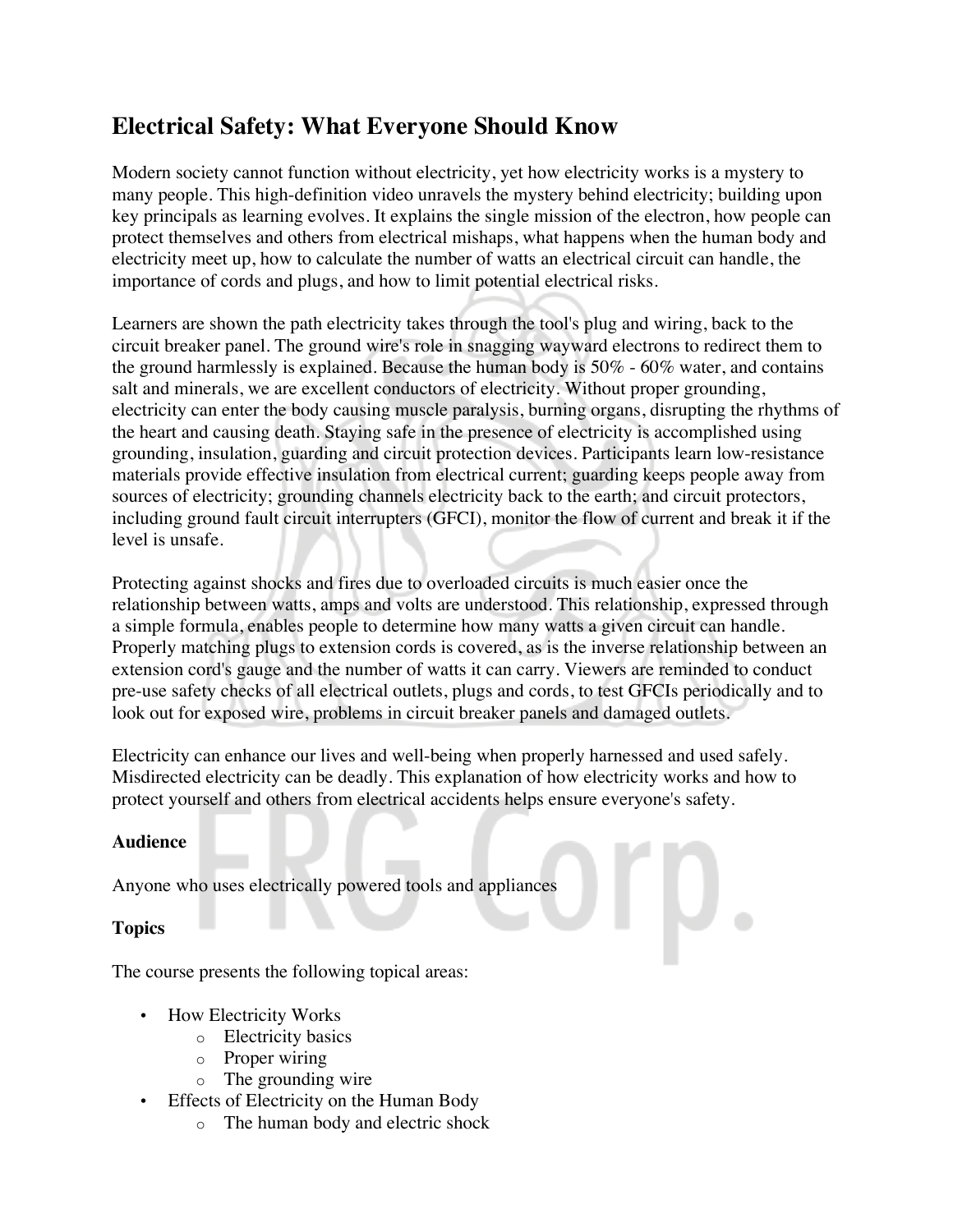# **Electrical Safety: What Everyone Should Know**

Modern society cannot function without electricity, yet how electricity works is a mystery to many people. This high-definition video unravels the mystery behind electricity; building upon key principals as learning evolves. It explains the single mission of the electron, how people can protect themselves and others from electrical mishaps, what happens when the human body and electricity meet up, how to calculate the number of watts an electrical circuit can handle, the importance of cords and plugs, and how to limit potential electrical risks.

Learners are shown the path electricity takes through the tool's plug and wiring, back to the circuit breaker panel. The ground wire's role in snagging wayward electrons to redirect them to the ground harmlessly is explained. Because the human body is 50% - 60% water, and contains salt and minerals, we are excellent conductors of electricity. Without proper grounding, electricity can enter the body causing muscle paralysis, burning organs, disrupting the rhythms of the heart and causing death. Staying safe in the presence of electricity is accomplished using grounding, insulation, guarding and circuit protection devices. Participants learn low-resistance materials provide effective insulation from electrical current; guarding keeps people away from sources of electricity; grounding channels electricity back to the earth; and circuit protectors, including ground fault circuit interrupters (GFCI), monitor the flow of current and break it if the level is unsafe.

Protecting against shocks and fires due to overloaded circuits is much easier once the relationship between watts, amps and volts are understood. This relationship, expressed through a simple formula, enables people to determine how many watts a given circuit can handle. Properly matching plugs to extension cords is covered, as is the inverse relationship between an extension cord's gauge and the number of watts it can carry. Viewers are reminded to conduct pre-use safety checks of all electrical outlets, plugs and cords, to test GFCIs periodically and to look out for exposed wire, problems in circuit breaker panels and damaged outlets.

Electricity can enhance our lives and well-being when properly harnessed and used safely. Misdirected electricity can be deadly. This explanation of how electricity works and how to protect yourself and others from electrical accidents helps ensure everyone's safety.

## **Audience**

Anyone who uses electrically powered tools and appliances

## **Topics**

The course presents the following topical areas:

- How Electricity Works
	- o Electricity basics
	- o Proper wiring
	- o The grounding wire
- Effects of Electricity on the Human Body
	- o The human body and electric shock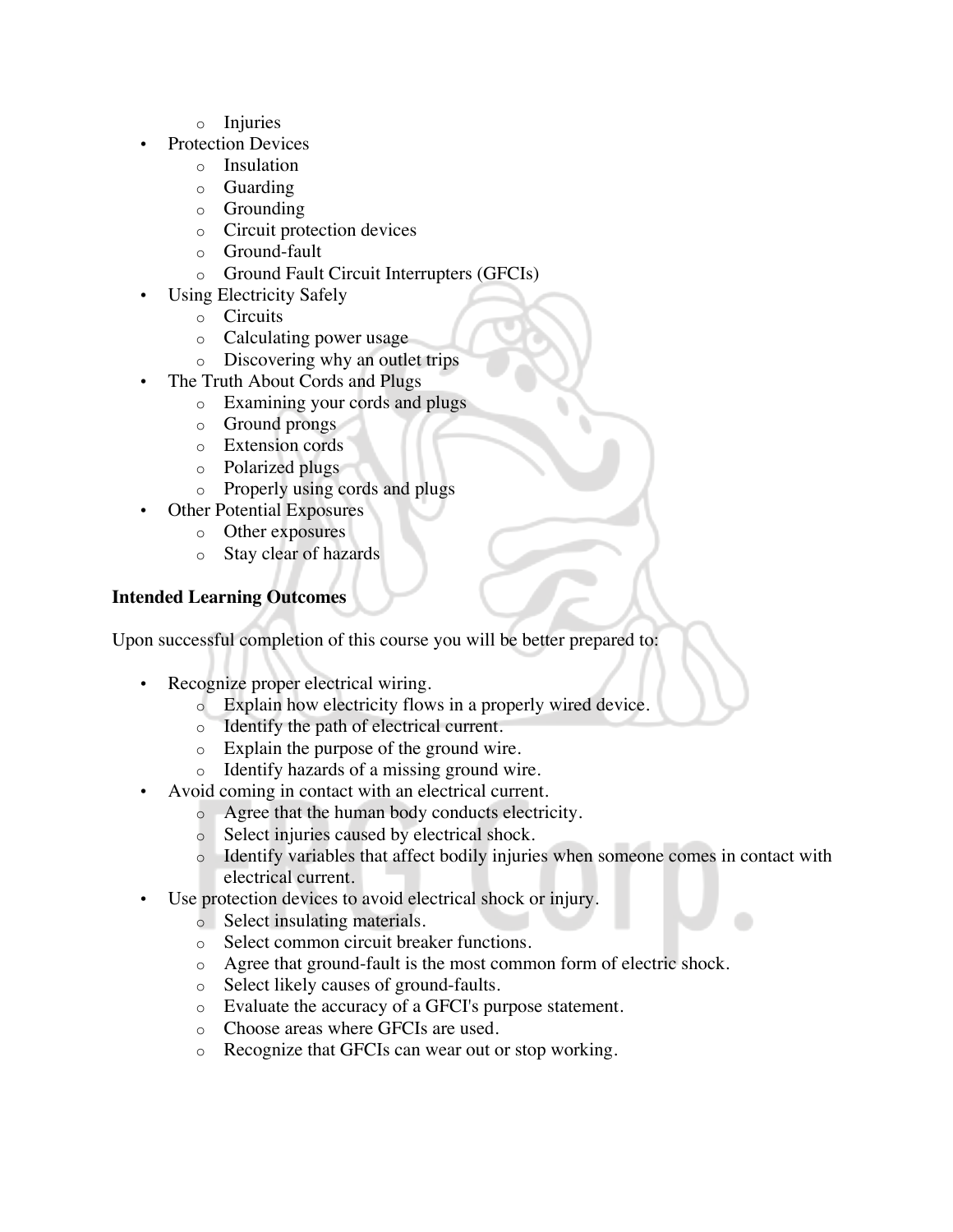- o Injuries
- Protection Devices
	- o Insulation
	- o Guarding
	- o Grounding
	- o Circuit protection devices
	- o Ground-fault
	- o Ground Fault Circuit Interrupters (GFCIs)
- Using Electricity Safely
	- o Circuits
	- o Calculating power usage
	- o Discovering why an outlet trips
- The Truth About Cords and Plugs
	- o Examining your cords and plugs
	- o Ground prongs
	- o Extension cords
	- o Polarized plugs
	- o Properly using cords and plugs
	- Other Potential Exposures
		- o Other exposures
		- o Stay clear of hazards

#### **Intended Learning Outcomes**

Upon successful completion of this course you will be better prepared to:

- Recognize proper electrical wiring.
	- o Explain how electricity flows in a properly wired device.
	- o Identify the path of electrical current.
	- o Explain the purpose of the ground wire.
	- o Identify hazards of a missing ground wire.
- Avoid coming in contact with an electrical current.
	- o Agree that the human body conducts electricity.
	- o Select injuries caused by electrical shock.
	- o Identify variables that affect bodily injuries when someone comes in contact with electrical current.
- Use protection devices to avoid electrical shock or injury.
	- o Select insulating materials.
	- o Select common circuit breaker functions.
	- o Agree that ground-fault is the most common form of electric shock.
	- o Select likely causes of ground-faults.
	- o Evaluate the accuracy of a GFCI's purpose statement.
	- o Choose areas where GFCIs are used.
	- o Recognize that GFCIs can wear out or stop working.